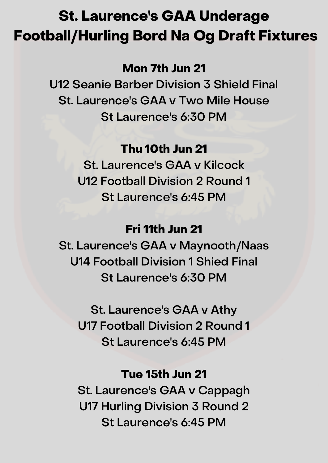# St. Laurence's GAA Underage Football/Hurling Bord Na Og Draft Fixtures

# Mon 7th Jun 21

U12 Seanie Barber Division 3 Shield Final St. Laurence's GAA v Two Mile House St Laurence's 6:30 PM

# Thu 10th Jun 21

St. Laurence's GAA v Kilcock U12 Football Division 2 Round 1 St Laurence's 6:45 PM

## Fri 11th Jun 21

St. Laurence's GAA v Maynooth/Naas U14 Football Division 1 Shied Final St Laurence's 6:30 PM

St. Laurence's GAA v Athy U17 Football Division 2 Round 1 St Laurence's 6:45 PM

# Tue 15th Jun 21

St. Laurence's GAA v Cappagh U17 Hurling Division 3 Round 2 St Laurence's 6:45 PM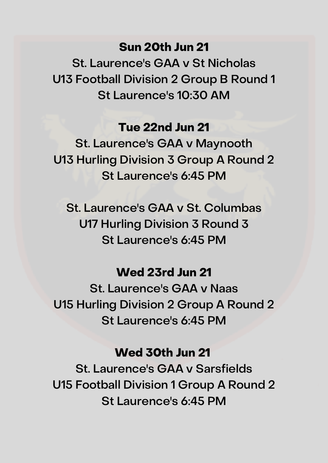## Sun 20th Jun 21

St. Laurence's GAA v St Nicholas U13 Football Division 2 Group B Round 1 St Laurence's 10:30 AM

## Tue 22nd Jun 21

St. Laurence's GAA v Maynooth U13 Hurling Division 3 Group A Round 2 St Laurence's 6:45 PM

St. Laurence's GAA v St. Columbas U17 Hurling Division 3 Round 3 St Laurence's 6:45 PM

## Wed 23rd Jun 21

St. Laurence's GAA v Naas U15 Hurling Division 2 Group A Round 2 St Laurence's 6:45 PM

### Wed 30th Jun 21

St. Laurence's GAA v Sarsfields U15 Football Division 1 Group A Round 2 St Laurence's 6:45 PM